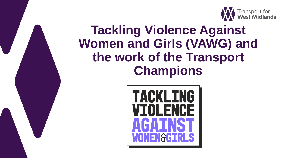

### **Tackling Violence Against Women and Girls (VAWG) and the work of the Transport Champions**

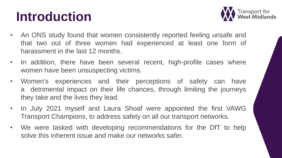## **Introduction**



- An ONS study found that women consistently reported feeling unsafe and that two out of three women had experienced at least one form of harassment in the last 12 months.
- In addition, there have been several recent, high-profile cases where women have been unsuspecting victims.
- Women's experiences and their perceptions of safety can have a detrimental impact on their life chances, through limiting the journeys they take and the lives they lead.
- In July 2021 myself and Laura Shoaf were appointed the first VAWG Transport Champions, to address safety on all our transport networks.
- We were tasked with developing recommendations for the DfT to help solve this inherent issue and make our networks safer.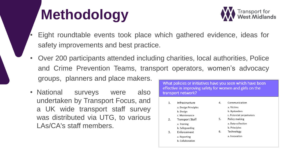# **Methodology**



- Eight roundtable events took place which gathered evidence, ideas for safety improvements and best practice.
- Over 200 participants attended including charities, local authorities, Police and Crime Prevention Teams, transport operators, women's advocacy groups, planners and place makers.
- National surveys were also undertaken by Transport Focus, and a UK wide transport staff survey was distributed via UTG, to various LAs/CA's staff members.

| What policies or initiatives have you seen which have been<br>effective in improving safety for women and girls on the<br>transport network? |                                                                    |    |                                                                  |
|----------------------------------------------------------------------------------------------------------------------------------------------|--------------------------------------------------------------------|----|------------------------------------------------------------------|
| 1.                                                                                                                                           | Infrastructure<br>a. Design Principles<br>b. Design                | 4. | Communication<br>a. Victims<br>b. Bystanders                     |
| 2.                                                                                                                                           | c. Maintenance<br><b>Transport Staff</b><br>a. Training            | 5. | c. Potential perpetrators<br>Policy making<br>a. Data collection |
| 3.                                                                                                                                           | b. Safeguarding<br>Enforcement<br>a. Reporting<br>b. Collaboration | 6. | b. Principles<br>Technology<br>a. Innovation                     |
|                                                                                                                                              |                                                                    |    |                                                                  |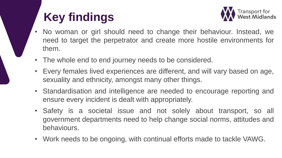### **Key findings**



- No woman or girl should need to change their behaviour. Instead, we need to target the perpetrator and create more hostile environments for them.
- The whole end to end journey needs to be considered.
- Every females lived experiences are different, and will vary based on age, sexuality and ethnicity, amongst many other things.
- Standardisation and intelligence are needed to encourage reporting and ensure every incident is dealt with appropriately.
- Safety is a societal issue and not solely about transport, so all government departments need to help change social norms, attitudes and behaviours.
- Work needs to be ongoing, with continual efforts made to tackle VAWG.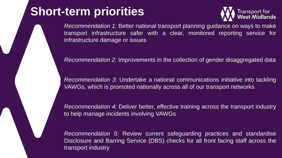#### **Short-term priorities**



*Recommendation 1:* Better national transport planning guidance on ways to make transport infrastructure safer with a clear, monitored reporting service for infrastructure damage or issues

*Recommendation 2:* Improvements in the collection of gender disaggregated data

*Recommendation 3:* Undertake a national communications initiative into tackling VAWGs, which is promoted nationally across all of our transport networks

*Recommendation 4:* Deliver better, effective training across the transport industry to help manage incidents involving VAWGs

*Recommendation 5:* Review current safeguarding practices and standardise Disclosure and Barring Service (DBS) checks for all front facing staff across the transport industry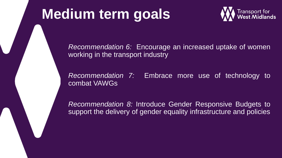## **Medium term goals**



*Recommendation 6:* Encourage an increased uptake of women working in the transport industry

*Recommendation 7:* Embrace more use of technology to combat VAWGs

*Recommendation 8:* Introduce Gender Responsive Budgets to support the delivery of gender equality infrastructure and policies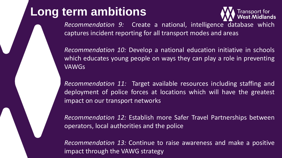#### **Long term ambitions**



*Recommendation 9:* Create a national, intelligence database which captures incident reporting for all transport modes and areas

*Recommendation 10:* Develop a national education initiative in schools which educates young people on ways they can play a role in preventing VAWGs

*Recommendation 11:* Target available resources including staffing and deployment of police forces at locations which will have the greatest impact on our transport networks

*Recommendation 12:* Establish more Safer Travel Partnerships between operators, local authorities and the police

*Recommendation 13:* Continue to raise awareness and make a positive impact through the VAWG strategy